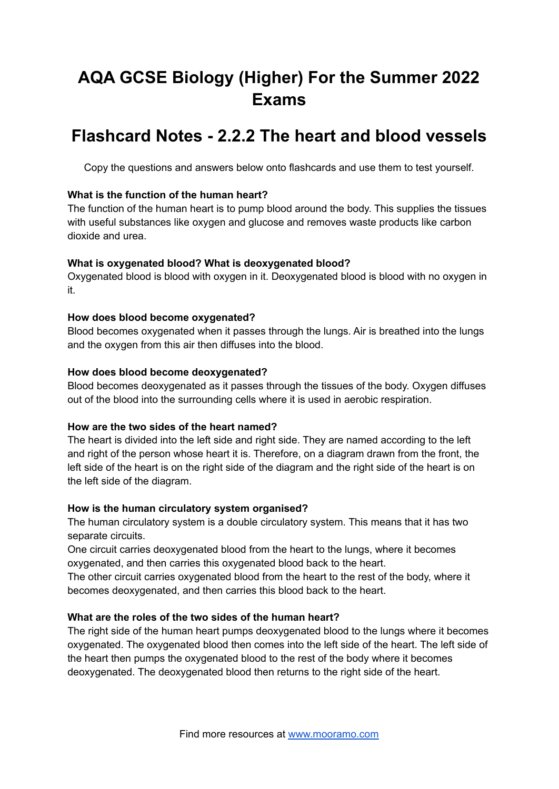# **AQA GCSE Biology (Higher) For the Summer 2022 Exams**

## **Flashcard Notes - 2.2.2 The heart and blood vessels**

Copy the questions and answers below onto flashcards and use them to test yourself.

#### **What is the function of the human heart?**

The function of the human heart is to pump blood around the body. This supplies the tissues with useful substances like oxygen and glucose and removes waste products like carbon dioxide and urea.

#### **What is oxygenated blood? What is deoxygenated blood?**

Oxygenated blood is blood with oxygen in it. Deoxygenated blood is blood with no oxygen in it.

#### **How does blood become oxygenated?**

Blood becomes oxygenated when it passes through the lungs. Air is breathed into the lungs and the oxygen from this air then diffuses into the blood.

#### **How does blood become deoxygenated?**

Blood becomes deoxygenated as it passes through the tissues of the body. Oxygen diffuses out of the blood into the surrounding cells where it is used in aerobic respiration.

#### **How are the two sides of the heart named?**

The heart is divided into the left side and right side. They are named according to the left and right of the person whose heart it is. Therefore, on a diagram drawn from the front, the left side of the heart is on the right side of the diagram and the right side of the heart is on the left side of the diagram.

## **How is the human circulatory system organised?**

The human circulatory system is a double circulatory system. This means that it has two separate circuits.

One circuit carries deoxygenated blood from the heart to the lungs, where it becomes oxygenated, and then carries this oxygenated blood back to the heart.

The other circuit carries oxygenated blood from the heart to the rest of the body, where it becomes deoxygenated, and then carries this blood back to the heart.

## **What are the roles of the two sides of the human heart?**

The right side of the human heart pumps deoxygenated blood to the lungs where it becomes oxygenated. The oxygenated blood then comes into the left side of the heart. The left side of the heart then pumps the oxygenated blood to the rest of the body where it becomes deoxygenated. The deoxygenated blood then returns to the right side of the heart.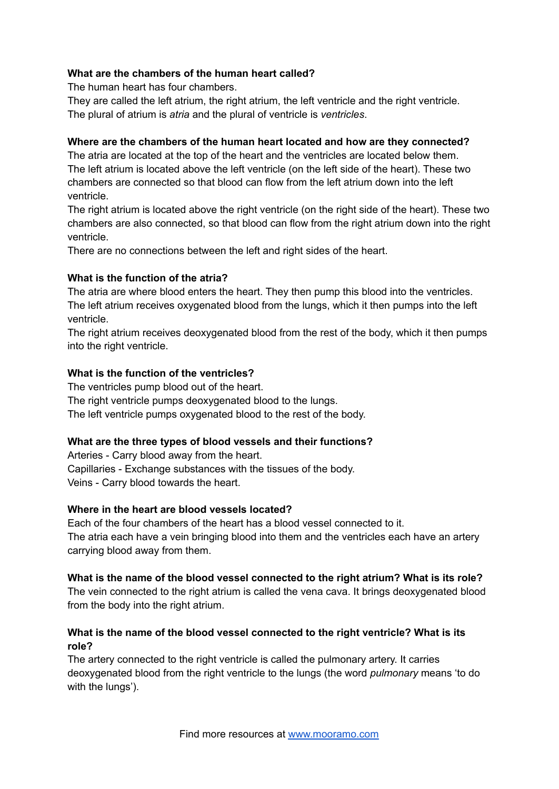## **What are the chambers of the human heart called?**

The human heart has four chambers.

They are called the left atrium, the right atrium, the left ventricle and the right ventricle. The plural of atrium is *atria* and the plural of ventricle is *ventricles*.

## **Where are the chambers of the human heart located and how are they connected?**

The atria are located at the top of the heart and the ventricles are located below them. The left atrium is located above the left ventricle (on the left side of the heart). These two chambers are connected so that blood can flow from the left atrium down into the left ventricle.

The right atrium is located above the right ventricle (on the right side of the heart). These two chambers are also connected, so that blood can flow from the right atrium down into the right ventricle.

There are no connections between the left and right sides of the heart.

#### **What is the function of the atria?**

The atria are where blood enters the heart. They then pump this blood into the ventricles. The left atrium receives oxygenated blood from the lungs, which it then pumps into the left ventricle.

The right atrium receives deoxygenated blood from the rest of the body, which it then pumps into the right ventricle.

#### **What is the function of the ventricles?**

The ventricles pump blood out of the heart. The right ventricle pumps deoxygenated blood to the lungs. The left ventricle pumps oxygenated blood to the rest of the body.

## **What are the three types of blood vessels and their functions?**

Arteries - Carry blood away from the heart. Capillaries - Exchange substances with the tissues of the body. Veins - Carry blood towards the heart.

## **Where in the heart are blood vessels located?**

Each of the four chambers of the heart has a blood vessel connected to it. The atria each have a vein bringing blood into them and the ventricles each have an artery carrying blood away from them.

#### **What is the name of the blood vessel connected to the right atrium? What is its role?**

The vein connected to the right atrium is called the vena cava. It brings deoxygenated blood from the body into the right atrium.

## **What is the name of the blood vessel connected to the right ventricle? What is its role?**

The artery connected to the right ventricle is called the pulmonary artery. It carries deoxygenated blood from the right ventricle to the lungs (the word *pulmonary* means 'to do with the lungs').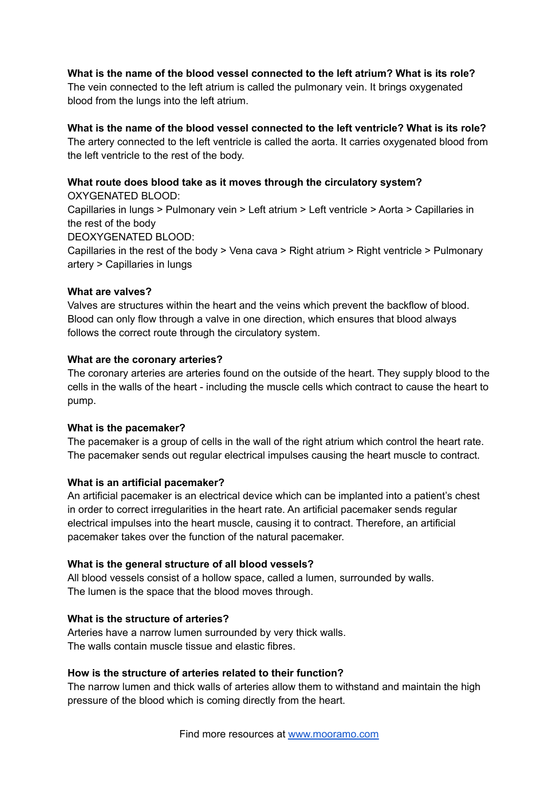## **What is the name of the blood vessel connected to the left atrium? What is its role?**

The vein connected to the left atrium is called the pulmonary vein. It brings oxygenated blood from the lungs into the left atrium.

## **What is the name of the blood vessel connected to the left ventricle? What is its role?**

The artery connected to the left ventricle is called the aorta. It carries oxygenated blood from the left ventricle to the rest of the body.

#### **What route does blood take as it moves through the circulatory system?** OXYGENATED BLOOD:

Capillaries in lungs > Pulmonary vein > Left atrium > Left ventricle > Aorta > Capillaries in the rest of the body

DEOXYGENATED BLOOD:

Capillaries in the rest of the body > Vena cava > Right atrium > Right ventricle > Pulmonary artery > Capillaries in lungs

#### **What are valves?**

Valves are structures within the heart and the veins which prevent the backflow of blood. Blood can only flow through a valve in one direction, which ensures that blood always follows the correct route through the circulatory system.

#### **What are the coronary arteries?**

The coronary arteries are arteries found on the outside of the heart. They supply blood to the cells in the walls of the heart - including the muscle cells which contract to cause the heart to pump.

## **What is the pacemaker?**

The pacemaker is a group of cells in the wall of the right atrium which control the heart rate. The pacemaker sends out regular electrical impulses causing the heart muscle to contract.

## **What is an artificial pacemaker?**

An artificial pacemaker is an electrical device which can be implanted into a patient's chest in order to correct irregularities in the heart rate. An artificial pacemaker sends regular electrical impulses into the heart muscle, causing it to contract. Therefore, an artificial pacemaker takes over the function of the natural pacemaker.

## **What is the general structure of all blood vessels?**

All blood vessels consist of a hollow space, called a lumen, surrounded by walls. The lumen is the space that the blood moves through.

## **What is the structure of arteries?**

Arteries have a narrow lumen surrounded by very thick walls. The walls contain muscle tissue and elastic fibres.

## **How is the structure of arteries related to their function?**

The narrow lumen and thick walls of arteries allow them to withstand and maintain the high pressure of the blood which is coming directly from the heart.